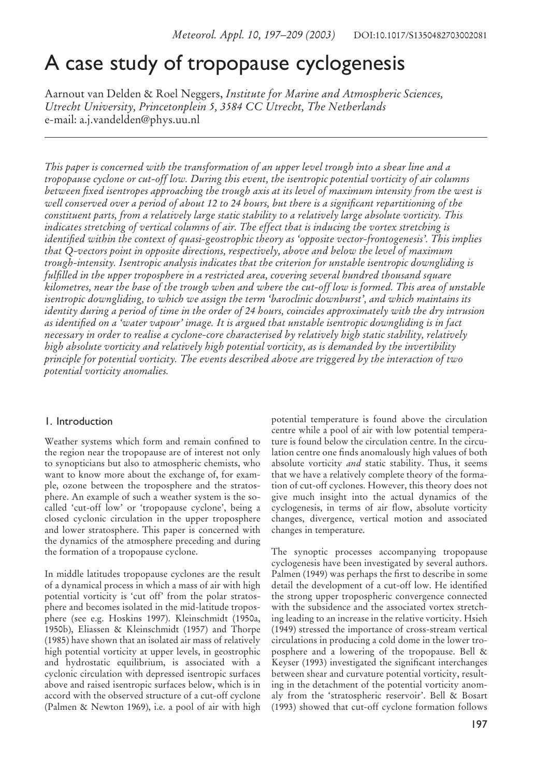# A case study of tropopause cyclogenesis

Aarnout van Delden & Roel Neggers, *Institute for Marine and Atmospheric Sciences, Utrecht University, Princetonplein 5, 3584 CC Utrecht, The Netherlands* e-mail: a.j.vandelden@phys.uu.nl

*This paper is concerned with the transformation of an upper level trough into a shear line and a tropopause cyclone or cut-off low. During this event, the isentropic potential vorticity of air columns between fixed isentropes approaching the trough axis at its level of maximum intensity from the west is well conserved over a period of about 12 to 24 hours, but there is a significant repartitioning of the constituent parts, from a relatively large static stability to a relatively large absolute vorticity. This indicates stretching of vertical columns of air. The effect that is inducing the vortex stretching is identified within the context of quasi-geostrophic theory as 'opposite vector-frontogenesis'. This implies that Q-vectors point in opposite directions, respectively, above and below the level of maximum trough-intensity. Isentropic analysis indicates that the criterion for unstable isentropic downgliding is fulfilled in the upper troposphere in a restricted area, covering several hundred thousand square kilometres, near the base of the trough when and where the cut-off low is formed. This area of unstable isentropic downgliding, to which we assign the term 'baroclinic downburst', and which maintains its identity during a period of time in the order of 24 hours, coincides approximately with the dry intrusion as identified on a 'water vapour' image. It is argued that unstable isentropic downgliding is in fact necessary in order to realise a cyclone-core characterised by relatively high static stability, relatively high absolute vorticity and relatively high potential vorticity, as is demanded by the invertibility principle for potential vorticity. The events described above are triggered by the interaction of two potential vorticity anomalies.*

## 1. Introduction

Weather systems which form and remain confined to the region near the tropopause are of interest not only to synopticians but also to atmospheric chemists, who want to know more about the exchange of, for example, ozone between the troposphere and the stratosphere. An example of such a weather system is the socalled 'cut-off low' or 'tropopause cyclone', being a closed cyclonic circulation in the upper troposphere and lower stratosphere. This paper is concerned with the dynamics of the atmosphere preceding and during the formation of a tropopause cyclone.

In middle latitudes tropopause cyclones are the result of a dynamical process in which a mass of air with high potential vorticity is 'cut off' from the polar stratosphere and becomes isolated in the mid-latitude troposphere (see e.g. Hoskins 1997). Kleinschmidt (1950a, 1950b), Eliassen & Kleinschmidt (1957) and Thorpe (1985) have shown that an isolated air mass of relatively high potential vorticity at upper levels, in geostrophic and hydrostatic equilibrium, is associated with a cyclonic circulation with depressed isentropic surfaces above and raised isentropic surfaces below, which is in accord with the observed structure of a cut-off cyclone (Palmen & Newton 1969), i.e. a pool of air with high

potential temperature is found above the circulation centre while a pool of air with low potential temperature is found below the circulation centre. In the circulation centre one finds anomalously high values of both absolute vorticity *and* static stability. Thus, it seems that we have a relatively complete theory of the formation of cut-off cyclones. However, this theory does not give much insight into the actual dynamics of the cyclogenesis, in terms of air flow, absolute vorticity changes, divergence, vertical motion and associated changes in temperature.

The synoptic processes accompanying tropopause cyclogenesis have been investigated by several authors. Palmen (1949) was perhaps the first to describe in some detail the development of a cut-off low. He identified the strong upper tropospheric convergence connected with the subsidence and the associated vortex stretching leading to an increase in the relative vorticity. Hsieh (1949) stressed the importance of cross-stream vertical circulations in producing a cold dome in the lower troposphere and a lowering of the tropopause. Bell & Keyser (1993) investigated the significant interchanges between shear and curvature potential vorticity, resulting in the detachment of the potential vorticity anomaly from the 'stratospheric reservoir'. Bell & Bosart (1993) showed that cut-off cyclone formation follows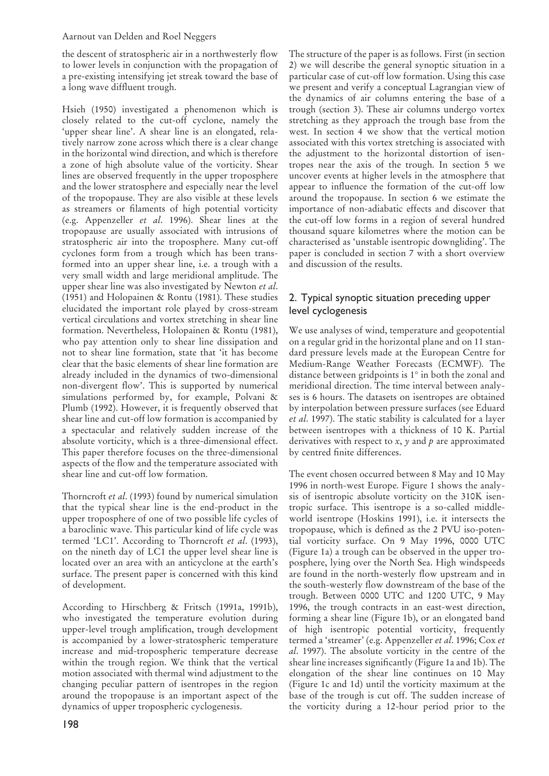the descent of stratospheric air in a northwesterly flow to lower levels in conjunction with the propagation of a pre-existing intensifying jet streak toward the base of a long wave diffluent trough.

Hsieh (1950) investigated a phenomenon which is closely related to the cut-off cyclone, namely the 'upper shear line'. A shear line is an elongated, relatively narrow zone across which there is a clear change in the horizontal wind direction, and which is therefore a zone of high absolute value of the vorticity. Shear lines are observed frequently in the upper troposphere and the lower stratosphere and especially near the level of the tropopause. They are also visible at these levels as streamers or filaments of high potential vorticity (e.g. Appenzeller *et al*. 1996). Shear lines at the tropopause are usually associated with intrusions of stratospheric air into the troposphere. Many cut-off cyclones form from a trough which has been transformed into an upper shear line, i.e. a trough with a very small width and large meridional amplitude. The upper shear line was also investigated by Newton *et al*. (1951) and Holopainen & Rontu (1981). These studies elucidated the important role played by cross-stream vertical circulations and vortex stretching in shear line formation. Nevertheless, Holopainen & Rontu (1981), who pay attention only to shear line dissipation and not to shear line formation, state that 'it has become clear that the basic elements of shear line formation are already included in the dynamics of two-dimensional non-divergent flow'. This is supported by numerical simulations performed by, for example, Polvani & Plumb (1992). However, it is frequently observed that shear line and cut-off low formation is accompanied by a spectacular and relatively sudden increase of the absolute vorticity, which is a three-dimensional effect. This paper therefore focuses on the three-dimensional aspects of the flow and the temperature associated with shear line and cut-off low formation.

Thorncroft *et al*. (1993) found by numerical simulation that the typical shear line is the end-product in the upper troposphere of one of two possible life cycles of a baroclinic wave. This particular kind of life cycle was termed 'LC1'. According to Thorncroft *et al*. (1993), on the nineth day of LC1 the upper level shear line is located over an area with an anticyclone at the earth's surface. The present paper is concerned with this kind of development.

According to Hirschberg & Fritsch (1991a, 1991b), who investigated the temperature evolution during upper-level trough amplification, trough development is accompanied by a lower-stratospheric temperature increase and mid-tropospheric temperature decrease within the trough region. We think that the vertical motion associated with thermal wind adjustment to the changing peculiar pattern of isentropes in the region around the tropopause is an important aspect of the dynamics of upper tropospheric cyclogenesis.

The structure of the paper is as follows. First (in section 2) we will describe the general synoptic situation in a particular case of cut-off low formation. Using this case we present and verify a conceptual Lagrangian view of the dynamics of air columns entering the base of a trough (section 3). These air columns undergo vortex stretching as they approach the trough base from the west. In section 4 we show that the vertical motion associated with this vortex stretching is associated with the adjustment to the horizontal distortion of isentropes near the axis of the trough. In section 5 we uncover events at higher levels in the atmosphere that appear to influence the formation of the cut-off low around the tropopause. In section 6 we estimate the importance of non-adiabatic effects and discover that the cut-off low forms in a region of several hundred thousand square kilometres where the motion can be characterised as 'unstable isentropic downgliding'. The paper is concluded in section 7 with a short overview and discussion of the results.

# 2. Typical synoptic situation preceding upper level cyclogenesis

We use analyses of wind, temperature and geopotential on a regular grid in the horizontal plane and on 11 standard pressure levels made at the European Centre for Medium-Range Weather Forecasts (ECMWF). The distance between gridpoints is 1° in both the zonal and meridional direction. The time interval between analyses is 6 hours. The datasets on isentropes are obtained by interpolation between pressure surfaces (see Eduard *et al*. 1997). The static stability is calculated for a layer between isentropes with a thickness of 10 K. Partial derivatives with respect to *x*, *y* and *p* are approximated by centred finite differences.

The event chosen occurred between 8 May and 10 May 1996 in north-west Europe. Figure 1 shows the analysis of isentropic absolute vorticity on the 310K isentropic surface. This isentrope is a so-called middleworld isentrope (Hoskins 1991), i.e. it intersects the tropopause, which is defined as the 2 PVU iso-potential vorticity surface. On 9 May 1996, 0000 UTC (Figure 1a) a trough can be observed in the upper troposphere, lying over the North Sea. High windspeeds are found in the north-westerly flow upstream and in the south-westerly flow downstream of the base of the trough. Between 0000 UTC and 1200 UTC, 9 May 1996, the trough contracts in an east-west direction, forming a shear line (Figure 1b), or an elongated band of high isentropic potential vorticity, frequently termed a 'streamer' (e.g. Appenzeller *et al*. 1996; Cox *et al*. 1997). The absolute vorticity in the centre of the shear line increases significantly (Figure 1a and 1b). The elongation of the shear line continues on 10 May (Figure 1c and 1d) until the vorticity maximum at the base of the trough is cut off. The sudden increase of the vorticity during a 12-hour period prior to the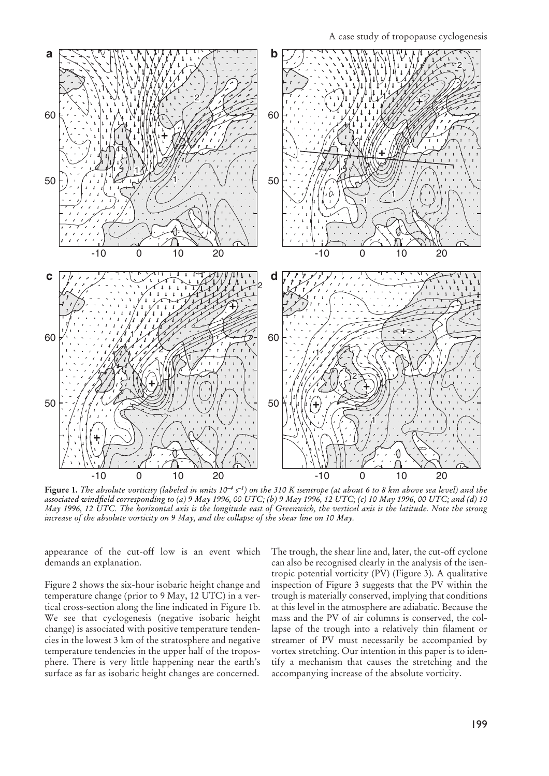

**Figure 1.** *The absolute vorticity (labeled in units 10–4 s–1) on the 310 K isentrope (at about 6 to 8 km above sea level) and the associated windfield corresponding to (a) 9 May 1996, 00 UTC; (b) 9 May 1996, 12 UTC; (c) 10 May 1996, 00 UTC; and (d) 10 May 1996, 12 UTC. The horizontal axis is the longitude east of Greenwich, the vertical axis is the latitude. Note the strong increase of the absolute vorticity on 9 May, and the collapse of the shear line on 10 May.*

appearance of the cut-off low is an event which demands an explanation.

Figure 2 shows the six-hour isobaric height change and temperature change (prior to 9 May, 12 UTC) in a vertical cross-section along the line indicated in Figure 1b. We see that cyclogenesis (negative isobaric height change) is associated with positive temperature tendencies in the lowest 3 km of the stratosphere and negative temperature tendencies in the upper half of the troposphere. There is very little happening near the earth's surface as far as isobaric height changes are concerned.

The trough, the shear line and, later, the cut-off cyclone can also be recognised clearly in the analysis of the isentropic potential vorticity (PV) (Figure 3). A qualitative inspection of Figure 3 suggests that the PV within the trough is materially conserved, implying that conditions at this level in the atmosphere are adiabatic. Because the mass and the PV of air columns is conserved, the collapse of the trough into a relatively thin filament or streamer of PV must necessarily be accompanied by vortex stretching. Our intention in this paper is to identify a mechanism that causes the stretching and the accompanying increase of the absolute vorticity.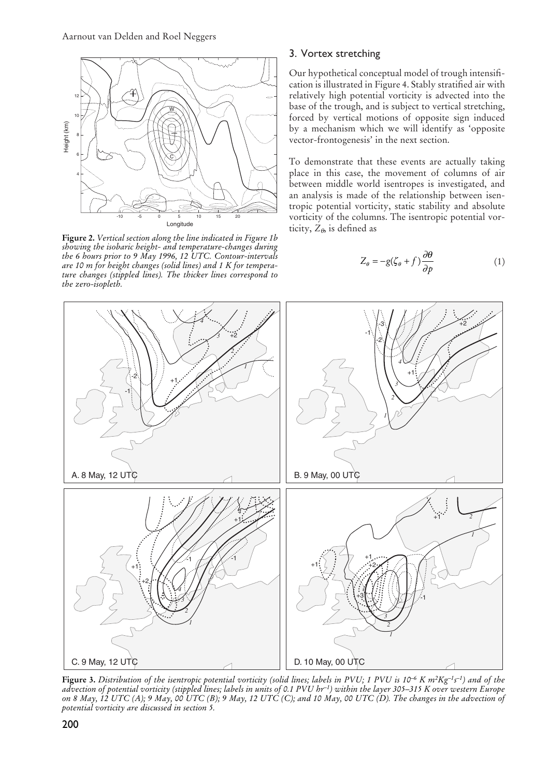

**Figure 2.** *Vertical section along the line indicated in Figure 1b showing the isobaric height- and temperature-changes during the 6 hours prior to 9 May 1996, 12 UTC. Contour-intervals are 10 m for height changes (solid lines) and 1 K for temperature changes (stippled lines). The thicker lines correspond to the zero-isopleth.*

# 3. Vortex stretching

Our hypothetical conceptual model of trough intensification is illustrated in Figure 4. Stably stratified air with relatively high potential vorticity is advected into the base of the trough, and is subject to vertical stretching, forced by vertical motions of opposite sign induced by a mechanism which we will identify as 'opposite vector-frontogenesis' in the next section.

To demonstrate that these events are actually taking place in this case, the movement of columns of air between middle world isentropes is investigated, and an analysis is made of the relationship between isentropic potential vorticity, static stability and absolute vorticity of the columns. The isentropic potential vorticity,  $Z_{\theta}$ , is defined as

$$
Z_{\theta} = -g(\zeta_{\theta} + f)\frac{\partial \theta}{\partial p}
$$
 (1)



**Figure 3.** *Distribution of the isentropic potential vorticity (solid lines; labels in PVU; 1 PVU is 10–6 K m2Kg–1s–1) and of the advection of potential vorticity (stippled lines; labels in units of 0.1 PVU hr–1) within the layer 305–315 K over western Europe on 8 May, 12 UTC (A); 9 May, 00 UTC (B); 9 May, 12 UTC (C); and 10 May, 00 UTC (D). The changes in the advection of potential vorticity are discussed in section 5.*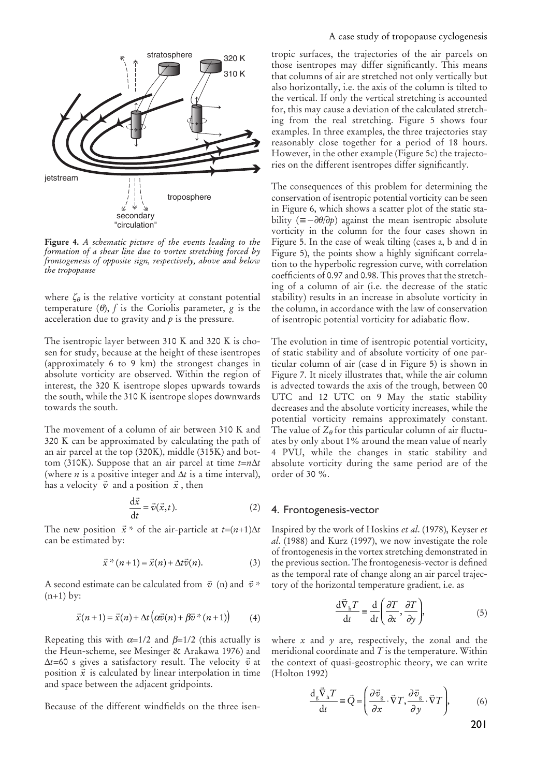

**Figure 4.** *A schematic picture of the events leading to the formation of a shear line due to vortex stretching forced by frontogenesis of opposite sign, respectively, above and below the tropopause*

where  $\zeta_{\theta}$  is the relative vorticity at constant potential temperature  $(\theta)$ , *f* is the Coriolis parameter, *g* is the acceleration due to gravity and *p* is the pressure.

The isentropic layer between 310 K and 320 K is chosen for study, because at the height of these isentropes (approximately 6 to 9 km) the strongest changes in absolute vorticity are observed. Within the region of interest, the 320 K isentrope slopes upwards towards the south, while the 310 K isentrope slopes downwards towards the south.

The movement of a column of air between 310 K and 320 K can be approximated by calculating the path of an air parcel at the top (320K), middle (315K) and bottom (310K). Suppose that an air parcel at time *t*=*n*∆*t* (where *n* is a positive integer and ∆*t* is a time interval), r where *n* is a positive integer and  $\Delta t$  is a<br>has a velocity  $\vec{v}$  and a position  $\vec{x}$ , then

$$
\frac{\mathrm{d}\vec{x}}{\mathrm{d}t} = \vec{v}(\vec{x}, t). \tag{2}
$$

The new position  $\vec{x}$  \* of the air-particle at *t*= $(n+1)\Delta t$ can be estimated by:

$$
\vec{x} * (n+1) = \vec{x}(n) + \Delta t \vec{v}(n).
$$
 (3)

A second estimate can be calculated from  $\vec{v}$  (n) and  $\vec{v}$  \*  $(n+1)$  by:

$$
\vec{x}(n+1) = \vec{x}(n) + \Delta t \left( \alpha \vec{v}(n) + \beta \vec{v}^{\,*}(n+1) \right) \tag{4}
$$

Repeating this with  $\alpha=1/2$  and  $\beta=1/2$  (this actually is the Heun-scheme, see Mesinger & Arakawa 1976) and *Δt*=60 s gives a satisfactory result. The velocity  $\vec{v}$  at position  $\vec{x}$  is calculated by linear interpolation in time and space between the adjacent gridpoints.

Because of the different windfields on the three isen-

tropic surfaces, the trajectories of the air parcels on those isentropes may differ significantly. This means that columns of air are stretched not only vertically but also horizontally, i.e. the axis of the column is tilted to the vertical. If only the vertical stretching is accounted for, this may cause a deviation of the calculated stretching from the real stretching. Figure 5 shows four examples. In three examples, the three trajectories stay reasonably close together for a period of 18 hours. However, in the other example (Figure 5c) the trajectories on the different isentropes differ significantly.

The consequences of this problem for determining the conservation of isentropic potential vorticity can be seen in Figure 6, which shows a scatter plot of the static stability (≡−∂θ/∂*p*) against the mean isentropic absolute vorticity in the column for the four cases shown in Figure 5. In the case of weak tilting (cases a, b and d in Figure 5), the points show a highly significant correlation to the hyperbolic regression curve, with correlation coefficients of 0.97 and 0.98. This proves that the stretching of a column of air (i.e. the decrease of the static stability) results in an increase in absolute vorticity in the column, in accordance with the law of conservation of isentropic potential vorticity for adiabatic flow.

The evolution in time of isentropic potential vorticity, of static stability and of absolute vorticity of one particular column of air (case d in Figure 5) is shown in Figure 7. It nicely illustrates that, while the air column is advected towards the axis of the trough, between 00 UTC and 12 UTC on 9 May the static stability decreases and the absolute vorticity increases, while the potential vorticity remains approximately constant. The value of  $Z_{\theta}$  for this particular column of air fluctuates by only about 1% around the mean value of nearly 4 PVU, while the changes in static stability and absolute vorticity during the same period are of the order of 30 %.

#### 4. Frontogenesis-vector

Inspired by the work of Hoskins *et al*. (1978), Keyser *et al*. (1988) and Kurz (1997), we now investigate the role of frontogenesis in the vortex stretching demonstrated in the previous section. The frontogenesis-vector is defined as the temporal rate of change along an air parcel trajectory of the horizontal temperature gradient, i.e. as

$$
\frac{\mathrm{d}\vec{\nabla}_{h}T}{\mathrm{d}t} \equiv \frac{\mathrm{d}}{\mathrm{d}t} \left( \frac{\partial T}{\partial x}, \frac{\partial T}{\partial y} \right),\tag{5}
$$

where  $x$  and  $y$  are, respectively, the zonal and the meridional coordinate and *T* is the temperature. Within the context of quasi-geostrophic theory, we can write (Holton 1992)

$$
\frac{\mathrm{d}_{\mathrm{g}}\vec{\nabla}_{\mathrm{h}}T}{\mathrm{d}t} \equiv \vec{Q} = \left(\frac{\partial \vec{v}_{\mathrm{g}}}{\partial x} \cdot \vec{\nabla}T, \frac{\partial \vec{v}_{\mathrm{g}}}{\partial y} \cdot \vec{\nabla}T\right),\tag{6}
$$

201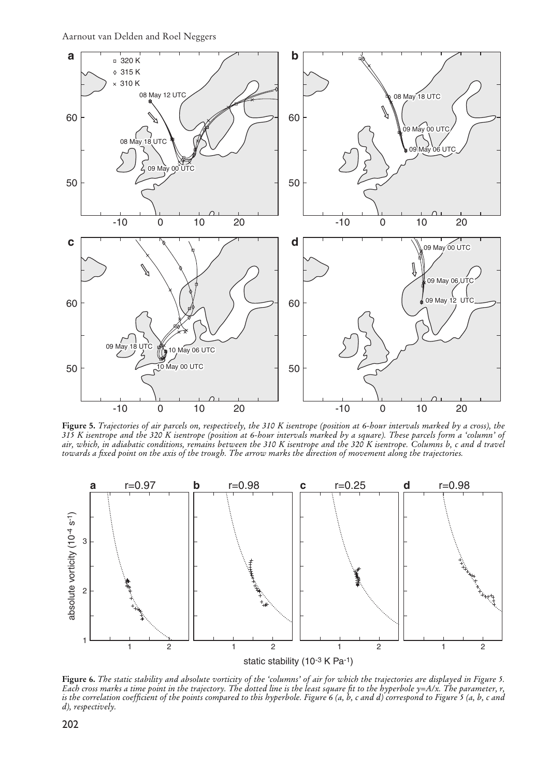

**Figure 5.** *Trajectories of air parcels on, respectively, the 310 K isentrope (position at 6-hour intervals marked by a cross), the 315 K isentrope and the 320 K isentrope (position at 6-hour intervals marked by a square). These parcels form a 'column' of air, which, in adiabatic conditions, remains between the 310 K isentrope and the 320 K isentrope. Columns b, c and d travel towards a fixed point on the axis of the trough. The arrow marks the direction of movement along the trajectories.* 



static stability (10<sup>-3</sup> K Pa<sup>-1</sup>)

**Figure 6.** *The static stability and absolute vorticity of the 'columns' of air for which the trajectories are displayed in Figure 5. Each cross marks a time point in the trajectory. The dotted line is the least square fit to the hyperbole y=A/x. The parameter, r, is the correlation coefficient of the points compared to this hyperbole. Figure 6 (a, b, c and d) correspond to Figure 5 (a, b, c and d), respectively.*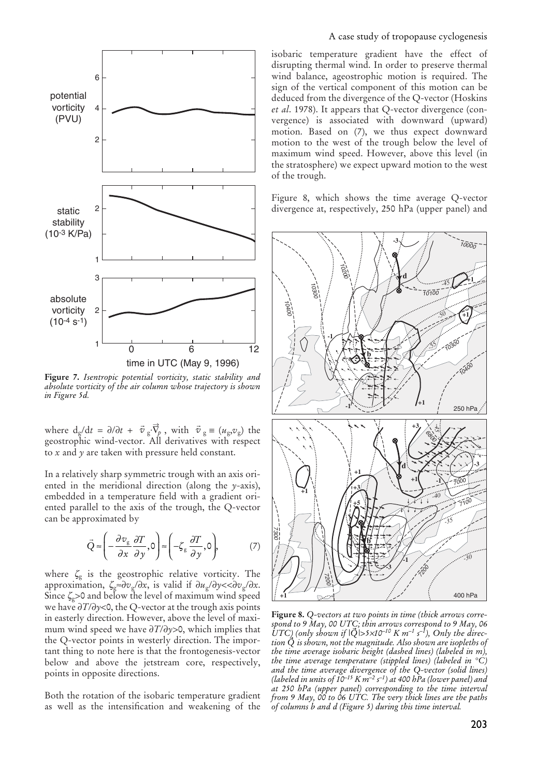

**Figure 7.** *Isentropic potential vorticity, static stability and absolute vorticity of the air column whose trajectory is shown in Figure 5d.*

where  $d_g/dt = \partial/\partial t + \vec{v}_g \cdot \vec{\nabla}_p$ , with  $\vec{v}_g \equiv (u_g, v_g)$  the geostrophic wind-vector. All derivatives with respect to *x* and *y* are taken with pressure held constant.

In a relatively sharp symmetric trough with an axis oriented in the meridional direction (along the *y*-axis), embedded in a temperature field with a gradient oriented parallel to the axis of the trough, the Q-vector can be approximated by

$$
\vec{Q} \approx \left( -\frac{\partial v_{\rm g}}{\partial x} \frac{\partial T}{\partial y}, 0 \right) \approx \left( -\zeta_{\rm g} \frac{\partial T}{\partial y}, 0 \right), \tag{7}
$$

where  $\zeta_{\rm g}$  is the geostrophic relative vorticity. The approximation, ζg≈∂*v*g/∂*x*, is valid if ∂*u*g/∂*y*<<∂*v*g/∂*x*. Since  $\zeta_e$ >0 and below the level of maximum wind speed we have ∂*T*/∂*y*<0, the Q-vector at the trough axis points in easterly direction. However, above the level of maximum wind speed we have ∂*T*/∂*y*>0, which implies that the Q-vector points in westerly direction. The important thing to note here is that the frontogenesis-vector below and above the jetstream core, respectively, points in opposite directions.

Both the rotation of the isobaric temperature gradient as well as the intensification and weakening of the

isobaric temperature gradient have the effect of disrupting thermal wind. In order to preserve thermal wind balance, ageostrophic motion is required. The sign of the vertical component of this motion can be deduced from the divergence of the Q-vector (Hoskins *et al*. 1978). It appears that Q-vector divergence (convergence) is associated with downward (upward) motion. Based on (7), we thus expect downward motion to the west of the trough below the level of maximum wind speed. However, above this level (in the stratosphere) we expect upward motion to the west of the trough.

Figure 8, which shows the time average Q-vector divergence at, respectively, 250 hPa (upper panel) and



**Figure 8.** *Q-vectors at two points in time (thick arrows correspond to 9 May, 00 UTC; thin arrows correspond to 9 May, 06 UTC) (only shown if |Q*<sup>→</sup> *|>5*×*10–10 K m–1 s–1), Only the direction Q*<sup>→</sup> *is shown, not the magnitude. Also shown are isopleths of the time average isobaric height (dashed lines) (labeled in m), the time average temperature (stippled lines) (labeled in °C) and the time average divergence of the Q-vector (solid lines) (labeled in units of 10–15 K m–2 s –1) at 400 hPa (lower panel) and at 250 hPa (upper panel) corresponding to the time interval from 9 May, 00 to 06 UTC. The very thick lines are the paths of columns b and d (Figure 5) during this time interval.*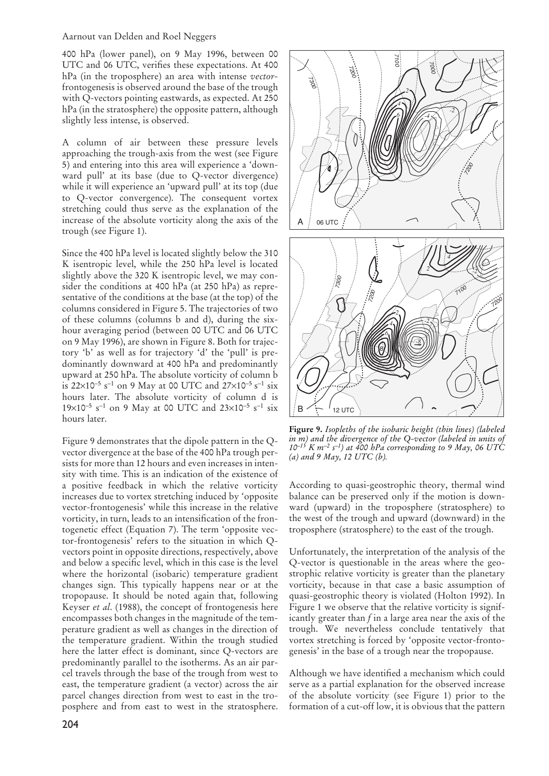400 hPa (lower panel), on 9 May 1996, between 00 UTC and 06 UTC, verifies these expectations. At 400 hPa (in the troposphere) an area with intense *vector*frontogenesis is observed around the base of the trough with Q-vectors pointing eastwards, as expected. At 250 hPa (in the stratosphere) the opposite pattern, although slightly less intense, is observed.

A column of air between these pressure levels approaching the trough-axis from the west (see Figure 5) and entering into this area will experience a 'downward pull' at its base (due to Q-vector divergence) while it will experience an 'upward pull' at its top (due to Q-vector convergence). The consequent vortex stretching could thus serve as the explanation of the increase of the absolute vorticity along the axis of the trough (see Figure 1).

Since the 400 hPa level is located slightly below the 310 K isentropic level, while the 250 hPa level is located slightly above the 320 K isentropic level, we may consider the conditions at 400 hPa (at 250 hPa) as representative of the conditions at the base (at the top) of the columns considered in Figure 5. The trajectories of two of these columns (columns b and d), during the sixhour averaging period (between 00 UTC and 06 UTC on 9 May 1996), are shown in Figure 8. Both for trajectory 'b' as well as for trajectory 'd' the 'pull' is predominantly downward at 400 hPa and predominantly upward at 250 hPa. The absolute vorticity of column b is 22×10<sup>-5</sup> s<sup>-1</sup> on 9 May at 00 UTC and 27×10<sup>-5</sup> s<sup>-1</sup> six hours later. The absolute vorticity of column d is 19×10<sup>-5</sup> s<sup>-1</sup> on 9 May at 00 UTC and  $23\times10^{-5}$  s<sup>-1</sup> six hours later.

Figure 9 demonstrates that the dipole pattern in the Qvector divergence at the base of the 400 hPa trough persists for more than 12 hours and even increases in intensity with time. This is an indication of the existence of a positive feedback in which the relative vorticity increases due to vortex stretching induced by 'opposite vector-frontogenesis' while this increase in the relative vorticity, in turn, leads to an intensification of the frontogenetic effect (Equation 7). The term 'opposite vector-frontogenesis' refers to the situation in which Qvectors point in opposite directions, respectively, above and below a specific level, which in this case is the level where the horizontal (isobaric) temperature gradient changes sign. This typically happens near or at the tropopause. It should be noted again that, following Keyser *et al*. (1988), the concept of frontogenesis here encompasses both changes in the magnitude of the temperature gradient as well as changes in the direction of the temperature gradient. Within the trough studied here the latter effect is dominant, since Q-vectors are predominantly parallel to the isotherms. As an air parcel travels through the base of the trough from west to east, the temperature gradient (a vector) across the air parcel changes direction from west to east in the troposphere and from east to west in the stratosphere.



**Figure 9.** *Isopleths of the isobaric height (thin lines) (labeled in m) and the divergence of the Q-vector (labeled in units of 10–15 K m–2 s–1) at 400 hPa corresponding to 9 May, 06 UTC (a) and 9 May, 12 UTC (b).* 

According to quasi-geostrophic theory, thermal wind balance can be preserved only if the motion is downward (upward) in the troposphere (stratosphere) to the west of the trough and upward (downward) in the troposphere (stratosphere) to the east of the trough.

Unfortunately, the interpretation of the analysis of the Q-vector is questionable in the areas where the geostrophic relative vorticity is greater than the planetary vorticity, because in that case a basic assumption of quasi-geostrophic theory is violated (Holton 1992). In Figure 1 we observe that the relative vorticity is significantly greater than *f* in a large area near the axis of the trough. We nevertheless conclude tentatively that vortex stretching is forced by 'opposite vector-frontogenesis' in the base of a trough near the tropopause.

Although we have identified a mechanism which could serve as a partial explanation for the observed increase of the absolute vorticity (see Figure 1) prior to the formation of a cut-off low, it is obvious that the pattern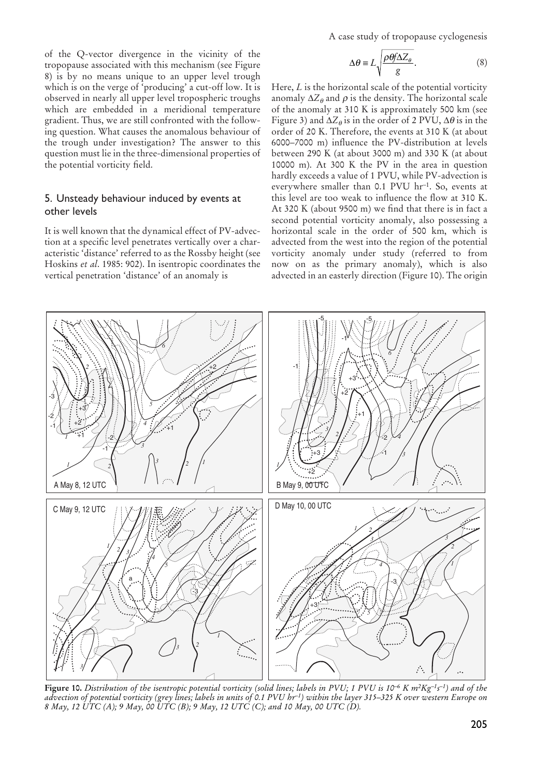A case study of tropopause cyclogenesis

of the Q-vector divergence in the vicinity of the tropopause associated with this mechanism (see Figure 8) is by no means unique to an upper level trough which is on the verge of 'producing' a cut-off low. It is observed in nearly all upper level tropospheric troughs which are embedded in a meridional temperature gradient. Thus, we are still confronted with the following question. What causes the anomalous behaviour of the trough under investigation? The answer to this question must lie in the three-dimensional properties of the potential vorticity field.

# 5. Unsteady behaviour induced by events at other levels

It is well known that the dynamical effect of PV-advection at a specific level penetrates vertically over a characteristic 'distance' referred to as the Rossby height (see Hoskins *et al*. 1985: 902). In isentropic coordinates the vertical penetration 'distance' of an anomaly is

$$
\Delta \theta \equiv L \sqrt{\frac{\rho \theta f \Delta Z_{\theta}}{g}}.
$$
 (8)

Here, *L* is the horizontal scale of the potential vorticity anomaly  $\Delta Z_{\theta}$  and  $\rho$  is the density. The horizontal scale of the anomaly at 310 K is approximately 500 km (see Figure 3) and  $\Delta Z_{\theta}$  is in the order of 2 PVU,  $\Delta \theta$  is in the order of 20 K. Therefore, the events at 310 K (at about 6000–7000 m) influence the PV-distribution at levels between 290 K (at about 3000 m) and 330 K (at about 10000 m). At 300 K the PV in the area in question hardly exceeds a value of 1 PVU, while PV-advection is everywhere smaller than 0.1 PVU hr–1. So, events at this level are too weak to influence the flow at 310 K. At 320 K (about 9500 m) we find that there is in fact a second potential vorticity anomaly, also possessing a horizontal scale in the order of 500 km, which is advected from the west into the region of the potential vorticity anomaly under study (referred to from now on as the primary anomaly), which is also advected in an easterly direction (Figure 10). The origin



**Figure 10.** *Distribution of the isentropic potential vorticity (solid lines; labels in PVU; 1 PVU is 10–6 K m2Kg–1s–1) and of the advection of potential vorticity (grey lines; labels in units of 0.1 PVU hr–1) within the layer 315–325 K over western Europe on 8 May, 12 UTC (A); 9 May, 00 UTC (B); 9 May, 12 UTC (C); and 10 May, 00 UTC (D).*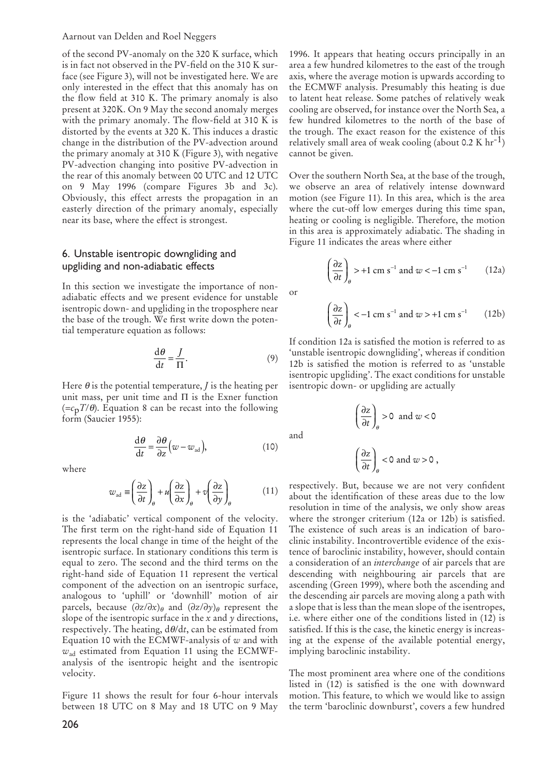of the second PV-anomaly on the 320 K surface, which is in fact not observed in the PV-field on the 310 K surface (see Figure 3), will not be investigated here. We are only interested in the effect that this anomaly has on the flow field at 310 K. The primary anomaly is also present at 320K. On 9 May the second anomaly merges with the primary anomaly. The flow-field at 310 K is distorted by the events at 320 K. This induces a drastic change in the distribution of the PV-advection around the primary anomaly at 310 K (Figure 3), with negative PV-advection changing into positive PV-advection in the rear of this anomaly between 00 UTC and 12 UTC on 9 May 1996 (compare Figures 3b and 3c). Obviously, this effect arrests the propagation in an easterly direction of the primary anomaly, especially near its base, where the effect is strongest.

# 6. Unstable isentropic downgliding and upgliding and non-adiabatic effects

In this section we investigate the importance of nonadiabatic effects and we present evidence for unstable isentropic down- and upgliding in the troposphere near the base of the trough. We first write down the potential temperature equation as follows:

$$
\frac{\mathrm{d}\theta}{\mathrm{d}t} = \frac{J}{\Pi}.\tag{9}
$$

Here  $\theta$  is the potential temperature,  $J$  is the heating per unit mass, per unit time and Π is the Exner function  $(=\epsilon_{p}T/\theta)$ . Equation 8 can be recast into the following form (Saucier 1955):

$$
\frac{\mathrm{d}\theta}{\mathrm{d}t} = \frac{\partial\theta}{\partial z}\Big(w - w_{\text{ad}}\Big),\tag{10}
$$

where

$$
w_{\rm ad} \equiv \left(\frac{\partial z}{\partial t}\right)_{\theta} + u \left(\frac{\partial z}{\partial x}\right)_{\theta} + v \left(\frac{\partial z}{\partial y}\right)_{\theta} \tag{11}
$$

is the 'adiabatic' vertical component of the velocity. The first term on the right-hand side of Equation 11 represents the local change in time of the height of the isentropic surface. In stationary conditions this term is equal to zero. The second and the third terms on the right-hand side of Equation 11 represent the vertical component of the advection on an isentropic surface, analogous to 'uphill' or 'downhill' motion of air parcels, because  $(\partial z/\partial x)_{\theta}$  and  $(\partial z/\partial y)_{\theta}$  represent the slope of the isentropic surface in the *x* and *y* directions, respectively. The heating, dθ/d*t*, can be estimated from Equation 10 with the ECMWF-analysis of *w* and with *w*ad estimated from Equation 11 using the ECMWFanalysis of the isentropic height and the isentropic velocity.

Figure 11 shows the result for four 6-hour intervals between 18 UTC on 8 May and 18 UTC on 9 May 1996. It appears that heating occurs principally in an area a few hundred kilometres to the east of the trough axis, where the average motion is upwards according to the ECMWF analysis. Presumably this heating is due to latent heat release. Some patches of relatively weak cooling are observed, for instance over the North Sea, a few hundred kilometres to the north of the base of the trough. The exact reason for the existence of this relatively small area of weak cooling (about 0.2 K  $hr^{-1}$ ) cannot be given.

Over the southern North Sea, at the base of the trough, we observe an area of relatively intense downward motion (see Figure 11). In this area, which is the area where the cut-off low emerges during this time span, heating or cooling is negligible. Therefore, the motion in this area is approximately adiabatic. The shading in Figure 11 indicates the areas where either

$$
\left(\frac{\partial z}{\partial t}\right)_{\theta} > +1 \text{ cm s}^{-1} \text{ and } w < -1 \text{ cm s}^{-1} \qquad (12a)
$$

or

and

$$
\left(\frac{\partial z}{\partial t}\right)_{\theta} < -1 \text{ cm s}^{-1} \text{ and } w > +1 \text{ cm s}^{-1} \qquad (12b)
$$

If condition 12a is satisfied the motion is referred to as 'unstable isentropic downgliding', whereas if condition 12b is satisfied the motion is referred to as 'unstable isentropic upgliding'. The exact conditions for unstable isentropic down- or upgliding are actually

$$
\left(\frac{\partial z}{\partial t}\right)_{\theta} > 0 \text{ and } w < 0
$$

$$
\left(\frac{\partial z}{\partial t}\right)_{\theta} < 0 \text{ and } w > 0 \text{ ,}
$$

respectively. But, because we are not very confident about the identification of these areas due to the low resolution in time of the analysis, we only show areas where the stronger criterium (12a or 12b) is satisfied. The existence of such areas is an indication of baroclinic instability. Incontrovertible evidence of the existence of baroclinic instability, however, should contain a consideration of an *interchange* of air parcels that are descending with neighbouring air parcels that are ascending (Green 1999), where both the ascending and the descending air parcels are moving along a path with a slope that is less than the mean slope of the isentropes, i.e. where either one of the conditions listed in (12) is satisfied. If this is the case, the kinetic energy is increasing at the expense of the available potential energy, implying baroclinic instability.

The most prominent area where one of the conditions listed in (12) is satisfied is the one with downward motion. This feature, to which we would like to assign the term 'baroclinic downburst', covers a few hundred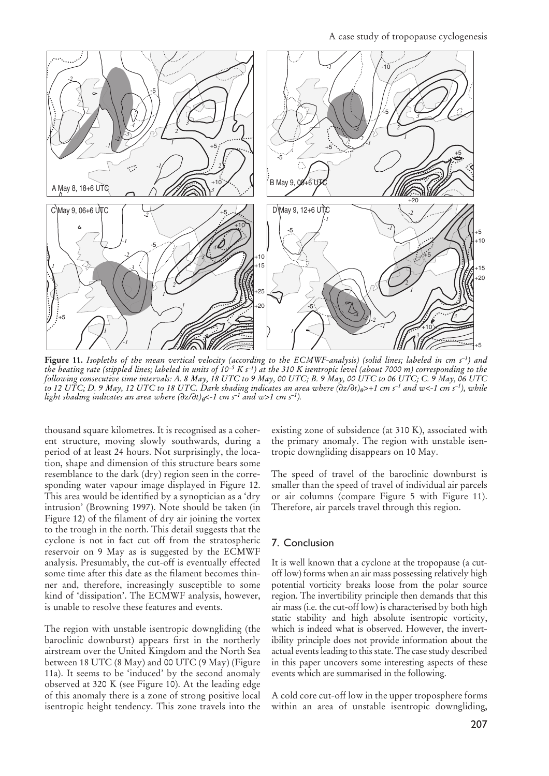

**Figure 11.** *Isopleths of the mean vertical velocity (according to the ECMWF-analysis) (solid lines; labeled in cm s–1) and the heating rate (stippled lines; labeled in units of 10–5 K s–1) at the 310 K isentropic level (about 7000 m) corresponding to the following consecutive time intervals: A. 8 May, 18 UTC to 9 May, 00 UTC; B. 9 May, 00 UTC to 06 UTC; C. 9 May, 06 UTC to 12 UTC; D. 9 May, 12 UTC to 18 UTC. Dark shading indicates an area where (*∂*z/*∂*t)*θ*>+1 cm s–1 and w<-1 cm s–1), while light shading indicates an area where*  $(\partial z/\partial t)_{\theta}$ <-1 cm s<sup>-1</sup> and w>1 cm s<sup>-1</sup>).

thousand square kilometres. It is recognised as a coherent structure, moving slowly southwards, during a period of at least 24 hours. Not surprisingly, the location, shape and dimension of this structure bears some resemblance to the dark (dry) region seen in the corresponding water vapour image displayed in Figure 12. This area would be identified by a synoptician as a 'dry intrusion' (Browning 1997). Note should be taken (in Figure 12) of the filament of dry air joining the vortex to the trough in the north. This detail suggests that the cyclone is not in fact cut off from the stratospheric reservoir on 9 May as is suggested by the ECMWF analysis. Presumably, the cut-off is eventually effected some time after this date as the filament becomes thinner and, therefore, increasingly susceptible to some kind of 'dissipation'. The ECMWF analysis, however, is unable to resolve these features and events.

The region with unstable isentropic downgliding (the baroclinic downburst) appears first in the northerly airstream over the United Kingdom and the North Sea between 18 UTC (8 May) and 00 UTC (9 May) (Figure 11a). It seems to be 'induced' by the second anomaly observed at 320 K (see Figure 10). At the leading edge of this anomaly there is a zone of strong positive local isentropic height tendency. This zone travels into the existing zone of subsidence (at 310 K), associated with the primary anomaly. The region with unstable isentropic downgliding disappears on 10 May.

The speed of travel of the baroclinic downburst is smaller than the speed of travel of individual air parcels or air columns (compare Figure 5 with Figure 11). Therefore, air parcels travel through this region.

# 7. Conclusion

It is well known that a cyclone at the tropopause (a cutoff low) forms when an air mass possessing relatively high potential vorticity breaks loose from the polar source region. The invertibility principle then demands that this air mass (i.e. the cut-off low) is characterised by both high static stability and high absolute isentropic vorticity, which is indeed what is observed. However, the invertibility principle does not provide information about the actual events leading to this state. The case study described in this paper uncovers some interesting aspects of these events which are summarised in the following.

A cold core cut-off low in the upper troposphere forms within an area of unstable isentropic downgliding,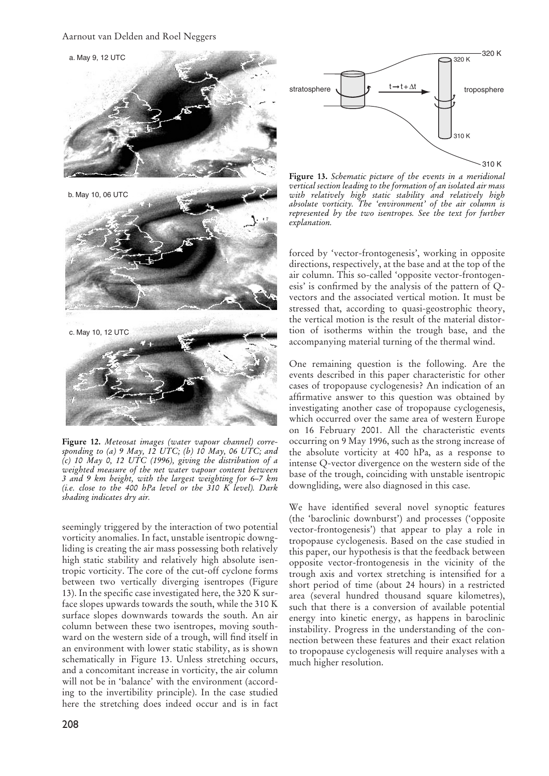![](_page_11_Picture_1.jpeg)

**Figure 12.** *Meteosat images (water vapour channel) corresponding to (a) 9 May, 12 UTC; (b) 10 May, 06 UTC; and (c) 10 May 0, 12 UTC (1996), giving the distribution of a weighted measure of the net water vapour content between 3 and 9 km height, with the largest weighting for 6–7 km (i.e. close to the 400 hPa level or the 310 K level). Dark shading indicates dry air.*

seemingly triggered by the interaction of two potential vorticity anomalies. In fact, unstable isentropic downgliding is creating the air mass possessing both relatively high static stability and relatively high absolute isentropic vorticity. The core of the cut-off cyclone forms between two vertically diverging isentropes (Figure 13). In the specific case investigated here, the 320 K surface slopes upwards towards the south, while the 310 K surface slopes downwards towards the south. An air column between these two isentropes, moving southward on the western side of a trough, will find itself in an environment with lower static stability, as is shown schematically in Figure 13. Unless stretching occurs, and a concomitant increase in vorticity, the air column will not be in 'balance' with the environment (according to the invertibility principle). In the case studied here the stretching does indeed occur and is in fact

![](_page_11_Figure_4.jpeg)

**Figure 13.** *Schematic picture of the events in a meridional vertical section leading to the formation of an isolated air mass with relatively high static stability and relatively high absolute vorticity. The 'environment' of the air column is represented by the two isentropes. See the text for further explanation.*

forced by 'vector-frontogenesis', working in opposite directions, respectively, at the base and at the top of the air column. This so-called 'opposite vector-frontogenesis' is confirmed by the analysis of the pattern of Qvectors and the associated vertical motion. It must be stressed that, according to quasi-geostrophic theory, the vertical motion is the result of the material distortion of isotherms within the trough base, and the accompanying material turning of the thermal wind.

One remaining question is the following. Are the events described in this paper characteristic for other cases of tropopause cyclogenesis? An indication of an affirmative answer to this question was obtained by investigating another case of tropopause cyclogenesis, which occurred over the same area of western Europe on 16 February 2001. All the characteristic events occurring on 9 May 1996, such as the strong increase of the absolute vorticity at 400 hPa, as a response to intense Q-vector divergence on the western side of the base of the trough, coinciding with unstable isentropic downgliding, were also diagnosed in this case.

We have identified several novel synoptic features (the 'baroclinic downburst') and processes ('opposite vector-frontogenesis') that appear to play a role in tropopause cyclogenesis. Based on the case studied in this paper, our hypothesis is that the feedback between opposite vector-frontogenesis in the vicinity of the trough axis and vortex stretching is intensified for a short period of time (about 24 hours) in a restricted area (several hundred thousand square kilometres), such that there is a conversion of available potential energy into kinetic energy, as happens in baroclinic instability. Progress in the understanding of the connection between these features and their exact relation to tropopause cyclogenesis will require analyses with a much higher resolution.